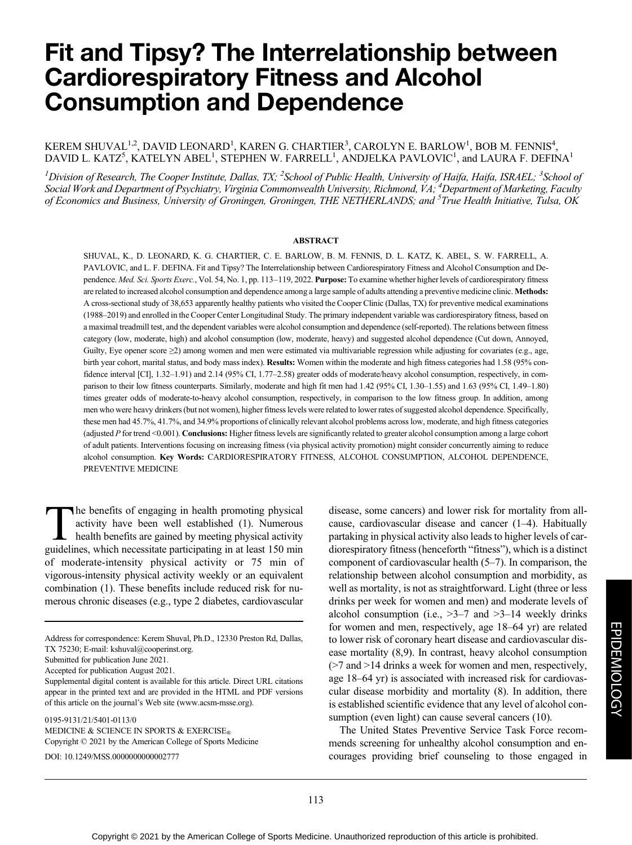# Fit and Tipsy? The Interrelationship between Cardiorespiratory Fitness and Alcohol Consumption and Dependence

# KEREM SHUVAL $^{1,2}$ , DAVID LEONARD $^{1}$ , KAREN G. CHARTIER $^{3}$ , CAROLYN E. BARLOW $^{1}$ , BOB M. FENNIS $^{4}$ , DAVID L. KATZ<sup>5</sup>, KATELYN ABEL<sup>1</sup>, STEPHEN W. FARRELL<sup>1</sup>, ANDJELKA PAVLOVIC<sup>1</sup>, and LAURA F. DEFINA<sup>1</sup>

 $^I$ Division of Research, The Cooper Institute, Dallas, TX;  $^2$ School of Public Health, University of Haifa, Haifa, ISRAEL;  $^3$ School of Social Work and Department of Psychiatry, Virginia Commonwealth University, Richmond, VA; <sup>4</sup>Department of Marketing, Faculty of Economics and Business, University of Groningen, Groningen, THE NETHERLANDS; and <sup>5</sup>True Health Initiative, Tulsa, OK

#### ABSTRACT

SHUVAL, K., D. LEONARD, K. G. CHARTIER, C. E. BARLOW, B. M. FENNIS, D. L. KATZ, K. ABEL, S. W. FARRELL, A. PAVLOVIC, and L. F. DEFINA. Fit and Tipsy? The Interrelationship between Cardiorespiratory Fitness and Alcohol Consumption and Dependence. Med. Sci. Sports Exerc., Vol. 54, No. 1, pp. 113-119, 2022. Purpose: To examine whether higher levels of cardiorespiratory fitness are related to increased alcohol consumption and dependence among a large sample of adults attending a preventive medicine clinic. Methods: A cross-sectional study of 38,653 apparently healthy patients who visited the Cooper Clinic (Dallas, TX) for preventive medical examinations (1988–2019) and enrolled in the Cooper Center Longitudinal Study. The primary independent variable was cardiorespiratory fitness, based on a maximal treadmill test, and the dependent variables were alcohol consumption and dependence (self-reported). The relations between fitness category (low, moderate, high) and alcohol consumption (low, moderate, heavy) and suggested alcohol dependence (Cut down, Annoyed, Guilty, Eye opener score ≥2) among women and men were estimated via multivariable regression while adjusting for covariates (e.g., age, birth year cohort, marital status, and body mass index). Results: Women within the moderate and high fitness categories had 1.58 (95% confidence interval [CI], 1.32–1.91) and 2.14 (95% CI, 1.77–2.58) greater odds of moderate/heavy alcohol consumption, respectively, in comparison to their low fitness counterparts. Similarly, moderate and high fit men had 1.42 (95% CI, 1.30–1.55) and 1.63 (95% CI, 1.49–1.80) times greater odds of moderate-to-heavy alcohol consumption, respectively, in comparison to the low fitness group. In addition, among men who were heavy drinkers (but not women), higher fitness levels were related to lower rates of suggested alcohol dependence. Specifically, these men had 45.7%, 41.7%, and 34.9% proportions of clinically relevant alcohol problems across low, moderate, and high fitness categories (adjusted P for trend <0.001). Conclusions: Higher fitness levels are significantly related to greater alcohol consumption among a large cohort of adult patients. Interventions focusing on increasing fitness (via physical activity promotion) might consider concurrently aiming to reduce alcohol consumption. Key Words: CARDIORESPIRATORY FITNESS, ALCOHOL CONSUMPTION, ALCOHOL DEPENDENCE, PREVENTIVE MEDICINE

The benefits of engaging in health promoting physical activity have been well established (1). Numerous health benefits are gained by meeting physical activity guidelines, which necessitate participating in at least 150 min of moderate-intensity physical activity or 75 min of vigorous-intensity physical activity weekly or an equivalent combination (1). These benefits include reduced risk for numerous chronic diseases (e.g., type 2 diabetes, cardiovascular

0195-9131/21/5401-0113/0 MEDICINE & SCIENCE IN SPORTS & EXERCISE® Copyright © 2021 by the American College of Sports Medicine DOI: 10.1249/MSS.0000000000002777

disease, some cancers) and lower risk for mortality from allcause, cardiovascular disease and cancer (1–4). Habitually partaking in physical activity also leads to higher levels of cardiorespiratory fitness (henceforth "fitness"), which is a distinct component of cardiovascular health (5–7). In comparison, the relationship between alcohol consumption and morbidity, as well as mortality, is not as straightforward. Light (three or less drinks per week for women and men) and moderate levels of alcohol consumption (i.e.,  $>3-7$  and  $>3-14$  weekly drinks for women and men, respectively, age 18–64 yr) are related to lower risk of coronary heart disease and cardiovascular disease mortality (8,9). In contrast, heavy alcohol consumption (>7 and >14 drinks a week for women and men, respectively, age 18–64 yr) is associated with increased risk for cardiovascular disease morbidity and mortality (8). In addition, there is established scientific evidence that any level of alcohol consumption (even light) can cause several cancers (10).

The United States Preventive Service Task Force recommends screening for unhealthy alcohol consumption and encourages providing brief counseling to those engaged in

Address for correspondence: Kerem Shuval, Ph.D., 12330 Preston Rd, Dallas, TX 75230; E-mail: [kshuval@cooperinst.org](mailto:kshuval@cooperinst.org).

Submitted for publication June 2021.

Accepted for publication August 2021.

Supplemental digital content is available for this article. Direct URL citations appear in the printed text and are provided in the HTML and PDF versions of this article on the journal's Web site [\(www.acsm-msse.org\)](http://www.acsm-msse.org).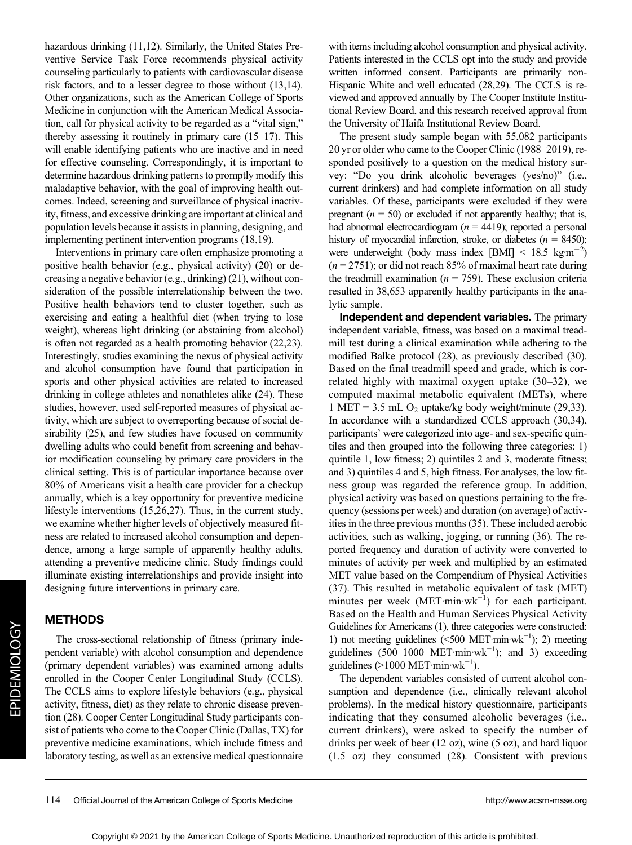hazardous drinking (11,12). Similarly, the United States Preventive Service Task Force recommends physical activity counseling particularly to patients with cardiovascular disease risk factors, and to a lesser degree to those without (13,14). Other organizations, such as the American College of Sports Medicine in conjunction with the American Medical Association, call for physical activity to be regarded as a "vital sign," thereby assessing it routinely in primary care (15–17). This will enable identifying patients who are inactive and in need for effective counseling. Correspondingly, it is important to determine hazardous drinking patterns to promptly modify this maladaptive behavior, with the goal of improving health outcomes. Indeed, screening and surveillance of physical inactivity, fitness, and excessive drinking are important at clinical and population levels because it assists in planning, designing, and implementing pertinent intervention programs (18,19).

Interventions in primary care often emphasize promoting a positive health behavior (e.g., physical activity) (20) or decreasing a negative behavior (e.g., drinking) (21), without consideration of the possible interrelationship between the two. Positive health behaviors tend to cluster together, such as exercising and eating a healthful diet (when trying to lose weight), whereas light drinking (or abstaining from alcohol) is often not regarded as a health promoting behavior (22,23). Interestingly, studies examining the nexus of physical activity and alcohol consumption have found that participation in sports and other physical activities are related to increased drinking in college athletes and nonathletes alike (24). These studies, however, used self-reported measures of physical activity, which are subject to overreporting because of social desirability (25), and few studies have focused on community dwelling adults who could benefit from screening and behavior modification counseling by primary care providers in the clinical setting. This is of particular importance because over 80% of Americans visit a health care provider for a checkup annually, which is a key opportunity for preventive medicine lifestyle interventions (15,26,27). Thus, in the current study, we examine whether higher levels of objectively measured fitness are related to increased alcohol consumption and dependence, among a large sample of apparently healthy adults, attending a preventive medicine clinic. Study findings could illuminate existing interrelationships and provide insight into designing future interventions in primary care.

# METHODS

The cross-sectional relationship of fitness (primary independent variable) with alcohol consumption and dependence (primary dependent variables) was examined among adults enrolled in the Cooper Center Longitudinal Study (CCLS). The CCLS aims to explore lifestyle behaviors (e.g., physical activity, fitness, diet) as they relate to chronic disease prevention (28). Cooper Center Longitudinal Study participants consist of patients who come to the Cooper Clinic (Dallas, TX) for preventive medicine examinations, which include fitness and laboratory testing, as well as an extensive medical questionnaire with items including alcohol consumption and physical activity. Patients interested in the CCLS opt into the study and provide written informed consent. Participants are primarily non-Hispanic White and well educated (28,29). The CCLS is reviewed and approved annually by The Cooper Institute Institutional Review Board, and this research received approval from the University of Haifa Institutional Review Board.

The present study sample began with 55,082 participants 20 yr or older who came to the Cooper Clinic (1988–2019), responded positively to a question on the medical history survey: "Do you drink alcoholic beverages (yes/no)" (i.e., current drinkers) and had complete information on all study variables. Of these, participants were excluded if they were pregnant ( $n = 50$ ) or excluded if not apparently healthy; that is, had abnormal electrocardiogram ( $n = 4419$ ); reported a personal history of myocardial infarction, stroke, or diabetes ( $n = 8450$ ); were underweight (body mass index [BMI]  $\leq 18.5 \text{ kg} \cdot \text{m}^{-2}$ )  $(n = 2751)$ ; or did not reach 85% of maximal heart rate during the treadmill examination ( $n = 759$ ). These exclusion criteria resulted in 38,653 apparently healthy participants in the analytic sample.

Independent and dependent variables. The primary independent variable, fitness, was based on a maximal treadmill test during a clinical examination while adhering to the modified Balke protocol (28), as previously described (30). Based on the final treadmill speed and grade, which is correlated highly with maximal oxygen uptake (30–32), we computed maximal metabolic equivalent (METs), where 1 MET = 3.5 mL  $O_2$  uptake/kg body weight/minute (29,33). In accordance with a standardized CCLS approach (30,34), participants' were categorized into age- and sex-specific quintiles and then grouped into the following three categories: 1) quintile 1, low fitness; 2) quintiles 2 and 3, moderate fitness; and 3) quintiles 4 and 5, high fitness. For analyses, the low fitness group was regarded the reference group. In addition, physical activity was based on questions pertaining to the frequency (sessions per week) and duration (on average) of activities in the three previous months (35). These included aerobic activities, such as walking, jogging, or running (36). The reported frequency and duration of activity were converted to minutes of activity per week and multiplied by an estimated MET value based on the Compendium of Physical Activities (37). This resulted in metabolic equivalent of task (MET) minutes per week (MET·min·wk<sup>-1</sup>) for each participant. Based on the Health and Human Services Physical Activity Guidelines for Americans (1), three categories were constructed: 1) not meeting guidelines (<500 MET·min·wk−<sup>1</sup> ); 2) meeting guidelines  $(500-1000 \text{ MET-min·wk}^{-1})$ ; and 3) exceeding guidelines (>1000 MET·min·wk<sup>-1</sup>).

The dependent variables consisted of current alcohol consumption and dependence (i.e., clinically relevant alcohol problems). In the medical history questionnaire, participants indicating that they consumed alcoholic beverages (i.e., current drinkers), were asked to specify the number of drinks per week of beer (12 oz), wine (5 oz), and hard liquor (1.5 oz) they consumed (28). Consistent with previous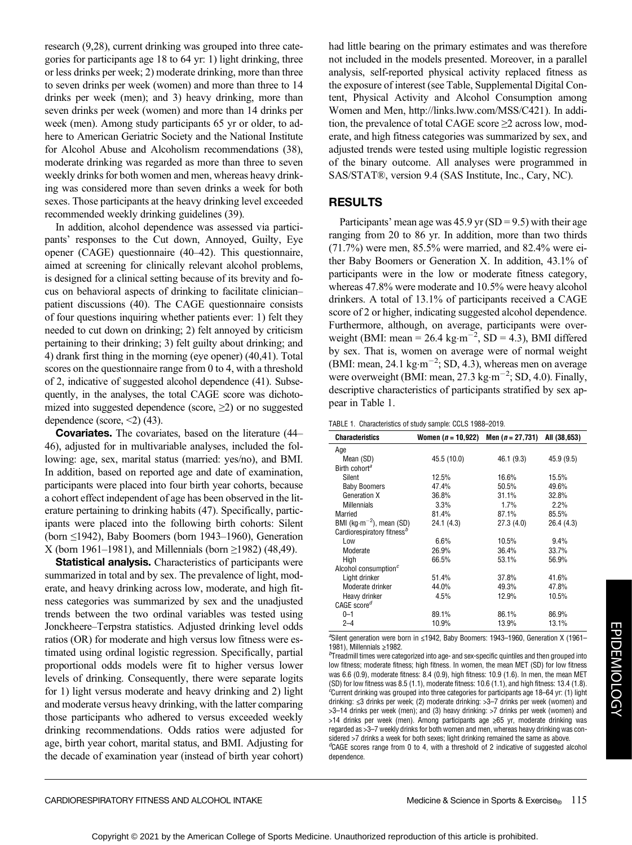research (9,28), current drinking was grouped into three categories for participants age 18 to 64 yr: 1) light drinking, three or less drinks per week; 2) moderate drinking, more than three to seven drinks per week (women) and more than three to 14 drinks per week (men); and 3) heavy drinking, more than seven drinks per week (women) and more than 14 drinks per week (men). Among study participants 65 yr or older, to adhere to American Geriatric Society and the National Institute for Alcohol Abuse and Alcoholism recommendations (38), moderate drinking was regarded as more than three to seven weekly drinks for both women and men, whereas heavy drinking was considered more than seven drinks a week for both sexes. Those participants at the heavy drinking level exceeded recommended weekly drinking guidelines (39).

In addition, alcohol dependence was assessed via participants' responses to the Cut down, Annoyed, Guilty, Eye opener (CAGE) questionnaire (40–42). This questionnaire, aimed at screening for clinically relevant alcohol problems, is designed for a clinical setting because of its brevity and focus on behavioral aspects of drinking to facilitate clinician– patient discussions (40). The CAGE questionnaire consists of four questions inquiring whether patients ever: 1) felt they needed to cut down on drinking; 2) felt annoyed by criticism pertaining to their drinking; 3) felt guilty about drinking; and 4) drank first thing in the morning (eye opener) (40,41). Total scores on the questionnaire range from 0 to 4, with a threshold of 2, indicative of suggested alcohol dependence (41). Subsequently, in the analyses, the total CAGE score was dichotomized into suggested dependence (score,  $\geq$ 2) or no suggested dependence (score,  $\leq$ ) (43).

Covariates. The covariates, based on the literature (44– 46), adjusted for in multivariable analyses, included the following: age, sex, marital status (married: yes/no), and BMI. In addition, based on reported age and date of examination, participants were placed into four birth year cohorts, because a cohort effect independent of age has been observed in the literature pertaining to drinking habits (47). Specifically, participants were placed into the following birth cohorts: Silent (born ≤1942), Baby Boomers (born 1943–1960), Generation X (born 1961–1981), and Millennials (born ≥1982) (48,49).

Statistical analysis. Characteristics of participants were summarized in total and by sex. The prevalence of light, moderate, and heavy drinking across low, moderate, and high fitness categories was summarized by sex and the unadjusted trends between the two ordinal variables was tested using Jonckheere–Terpstra statistics. Adjusted drinking level odds ratios (OR) for moderate and high versus low fitness were estimated using ordinal logistic regression. Specifically, partial proportional odds models were fit to higher versus lower levels of drinking. Consequently, there were separate logits for 1) light versus moderate and heavy drinking and 2) light and moderate versus heavy drinking, with the latter comparing those participants who adhered to versus exceeded weekly drinking recommendations. Odds ratios were adjusted for age, birth year cohort, marital status, and BMI. Adjusting for the decade of examination year (instead of birth year cohort) had little bearing on the primary estimates and was therefore not included in the models presented. Moreover, in a parallel analysis, self-reported physical activity replaced fitness as the exposure of interest (see Table, Supplemental Digital Content, Physical Activity and Alcohol Consumption among Women and Men,<http://links.lww.com/MSS/C421>). In addition, the prevalence of total CAGE score ≥2 across low, moderate, and high fitness categories was summarized by sex, and adjusted trends were tested using multiple logistic regression of the binary outcome. All analyses were programmed in SAS/STAT®, version 9.4 (SAS Institute, Inc., Cary, NC).

# RESULTS

Participants' mean age was  $45.9$  yr (SD = 9.5) with their age ranging from 20 to 86 yr. In addition, more than two thirds (71.7%) were men, 85.5% were married, and 82.4% were either Baby Boomers or Generation X. In addition, 43.1% of participants were in the low or moderate fitness category, whereas 47.8% were moderate and 10.5% were heavy alcohol drinkers. A total of 13.1% of participants received a CAGE score of 2 or higher, indicating suggested alcohol dependence. Furthermore, although, on average, participants were overweight (BMI: mean =  $26.4 \text{ kg} \cdot \text{m}^{-2}$ , SD = 4.3), BMI differed by sex. That is, women on average were of normal weight (BMI: mean, 24.1 kg·m<sup>-2</sup>; SD, 4.3), whereas men on average were overweight (BMI: mean,  $27.3 \text{ kg} \cdot \text{m}^{-2}$ ; SD, 4.0). Finally, descriptive characteristics of participants stratified by sex appear in Table 1.

| TABLE 1. Characteristics of study sample: CCLS 1988–2019. |  |  |
|-----------------------------------------------------------|--|--|

| <b>Characteristics</b>                       | Women ( <i>n</i> = 10,922) | Men $(n = 27, 731)$ | All (38,653) |
|----------------------------------------------|----------------------------|---------------------|--------------|
| Age                                          |                            |                     |              |
| Mean (SD)                                    | 45.5 (10.0)                | 46.1 (9.3)          | 45.9 (9.5)   |
| Birth cohort <sup>a</sup>                    |                            |                     |              |
| Silent                                       | 12.5%                      | 16.6%               | 15.5%        |
| <b>Baby Boomers</b>                          | 47.4%                      | 50.5%               | 49.6%        |
| Generation X                                 | 36.8%                      | 31.1%               | 32.8%        |
| <b>Millennials</b>                           | 3.3%                       | 1.7%                | 2.2%         |
| Married                                      | 81.4%                      | 87.1%               | 85.5%        |
| BMI (kg $\cdot$ m <sup>-2</sup> ), mean (SD) | 24.1(4.3)                  | 27.3 (4.0)          | 26.4 (4.3)   |
| Cardiorespiratory fitness <sup>b</sup>       |                            |                     |              |
| Low                                          | 6.6%                       | 10.5%               | 9.4%         |
| Moderate                                     | 26.9%                      | 36.4%               | 33.7%        |
| High                                         | 66.5%                      | 53.1%               | 56.9%        |
| Alcohol consumption $c$                      |                            |                     |              |
| Light drinker                                | 51.4%                      | 37.8%               | 41.6%        |
| Moderate drinker                             | 44.0%                      | 49.3%               | 47.8%        |
| Heavy drinker                                | 4.5%                       | 12.9%               | 10.5%        |
| $CAGE score^d$                               |                            |                     |              |
| $0 - 1$                                      | 89.1%                      | 86.1%               | 86.9%        |
| $2 - 4$                                      | 10.9%                      | 13.9%               | 13.1%        |

<sup>a</sup>Silent generation were born in ≤1942, Baby Boomers: 1943–1960, Generation X (1961– 1981), Millennials <sup>≥</sup>1982. <sup>b</sup>

 $b$ Treadmill times were categorized into age- and sex-specific quintiles and then grouped into low fitness; moderate fitness; high fitness. In women, the mean MET (SD) for low fitness was 6.6 (0.9), moderate fitness: 8.4 (0.9), high fitness: 10.9 (1.6). In men, the mean MET (SD) for low fitness was 8.5 (1.1), moderate fitness: 10.6 (1.1), and high fitness: 13.4 (1.8). <sup>c</sup>Current drinking was grouped into three categories for participants age 18-64 yr: (1) light drinking: ≤3 drinks per week; (2) moderate drinking: >3–7 drinks per week (women) and >3–14 drinks per week (men); and (3) heavy drinking: >7 drinks per week (women) and >14 drinks per week (men). Among participants age ≥65 yr, moderate drinking was regarded as >3–7 weekly drinks for both women and men, whereas heavy drinking was considered >7 drinks a week for both sexes; light drinking remained the same as above. <sup>d</sup>CAGE scores range from 0 to 4, with a threshold of 2 indicative of suggested alcohol dependence.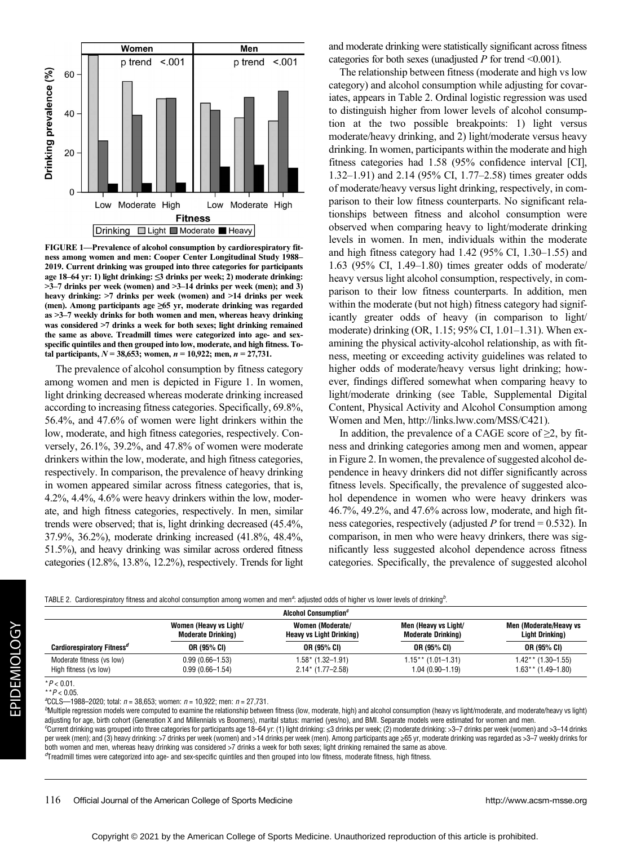

FIGURE 1—Prevalence of alcohol consumption by cardiorespiratory fitness among women and men: Cooper Center Longitudinal Study 1988– 2019. Current drinking was grouped into three categories for participants age 18–64 yr: 1) light drinking: ≤3 drinks per week; 2) moderate drinking: >3–7 drinks per week (women) and >3–14 drinks per week (men); and 3) heavy drinking: >7 drinks per week (women) and >14 drinks per week (men). Among participants age ≥65 yr, moderate drinking was regarded as >3–7 weekly drinks for both women and men, whereas heavy drinking was considered >7 drinks a week for both sexes; light drinking remained the same as above. Treadmill times were categorized into age- and sexspecific quintiles and then grouped into low, moderate, and high fitness. Total participants,  $N = 38,653$ ; women,  $n = 10,922$ ; men,  $n = 27,731$ .

The prevalence of alcohol consumption by fitness category among women and men is depicted in Figure 1. In women, light drinking decreased whereas moderate drinking increased according to increasing fitness categories. Specifically, 69.8%, 56.4%, and 47.6% of women were light drinkers within the low, moderate, and high fitness categories, respectively. Conversely, 26.1%, 39.2%, and 47.8% of women were moderate drinkers within the low, moderate, and high fitness categories, respectively. In comparison, the prevalence of heavy drinking in women appeared similar across fitness categories, that is, 4.2%, 4.4%, 4.6% were heavy drinkers within the low, moderate, and high fitness categories, respectively. In men, similar trends were observed; that is, light drinking decreased (45.4%, 37.9%, 36.2%), moderate drinking increased (41.8%, 48.4%, 51.5%), and heavy drinking was similar across ordered fitness categories (12.8%, 13.8%, 12.2%), respectively. Trends for light and moderate drinking were statistically significant across fitness categories for both sexes (unadjusted  $P$  for trend <0.001).

The relationship between fitness (moderate and high vs low category) and alcohol consumption while adjusting for covariates, appears in Table 2. Ordinal logistic regression was used to distinguish higher from lower levels of alcohol consumption at the two possible breakpoints: 1) light versus moderate/heavy drinking, and 2) light/moderate versus heavy drinking. In women, participants within the moderate and high fitness categories had 1.58 (95% confidence interval [CI], 1.32–1.91) and 2.14 (95% CI, 1.77–2.58) times greater odds of moderate/heavy versus light drinking, respectively, in comparison to their low fitness counterparts. No significant relationships between fitness and alcohol consumption were observed when comparing heavy to light/moderate drinking levels in women. In men, individuals within the moderate and high fitness category had 1.42 (95% CI, 1.30–1.55) and 1.63 (95% CI, 1.49–1.80) times greater odds of moderate/ heavy versus light alcohol consumption, respectively, in comparison to their low fitness counterparts. In addition, men within the moderate (but not high) fitness category had significantly greater odds of heavy (in comparison to light/ moderate) drinking (OR, 1.15; 95% CI, 1.01–1.31). When examining the physical activity-alcohol relationship, as with fitness, meeting or exceeding activity guidelines was related to higher odds of moderate/heavy versus light drinking; however, findings differed somewhat when comparing heavy to light/moderate drinking (see Table, Supplemental Digital Content, Physical Activity and Alcohol Consumption among Women and Men, [http://links.lww.com/MSS/C421\)](http://links.lww.com/MSS/C421).

In addition, the prevalence of a CAGE score of  $\geq$ 2, by fitness and drinking categories among men and women, appear in Figure 2. In women, the prevalence of suggested alcohol dependence in heavy drinkers did not differ significantly across fitness levels. Specifically, the prevalence of suggested alcohol dependence in women who were heavy drinkers was 46.7%, 49.2%, and 47.6% across low, moderate, and high fitness categories, respectively (adjusted  $P$  for trend = 0.532). In comparison, in men who were heavy drinkers, there was significantly less suggested alcohol dependence across fitness categories. Specifically, the prevalence of suggested alcohol

| Cardioresp                      |
|---------------------------------|
| Moderate f<br>High fitnes:      |
| $*P < 0.01$ .<br>** $P$ < 0.05. |
| <sup>a</sup> CCLS-1988          |
| <sup>b</sup> Multiple regr      |

TABLE 2. Cardiorespiratory fitness and alcohol consumption among women and men<sup>a</sup>: adjusted odds of higher vs lower levels of drinking<sup>b</sup>.

| <b>Alcohol Consumption</b> <sup>c</sup> |                           |                                 |                           |                        |  |  |  |
|-----------------------------------------|---------------------------|---------------------------------|---------------------------|------------------------|--|--|--|
|                                         | Women (Heavy vs Light/    | Women (Moderate/                | Men (Heavy vs Light/      | Men (Moderate/Heavy vs |  |  |  |
|                                         | <b>Moderate Drinking)</b> | <b>Heavy vs Light Drinking)</b> | <b>Moderate Drinking)</b> | Light Drinking)        |  |  |  |
| Cardiorespiratory Fitness <sup>a</sup>  | OR (95% CI)               | OR (95% CI)                     | OR (95% CI)               | OR (95% CI)            |  |  |  |
| Moderate fitness (vs low)               | $0.99(0.66 - 1.53)$       | 1.58* (1.32–1.91)               | $1.15**$ (1.01-1.31)      | $1.42**$ (1.30-1.55)   |  |  |  |
| High fitness (vs low)                   | $0.99(0.66 - 1.54)$       | $2.14*$ (1.77-2.58)             | $1.04(0.90 - 1.19)$       | $1.63**$ (1.49–1.80)   |  |  |  |

8–2020; total:  $n = 38,653$ ; women:  $n = 10,922$ ; men:  $n = 27,731$ .

ression models were computed to examine the relationship between fitness (low, moderate, high) and alcohol consumption (heavy vs light)/moderate, and moderate/heavy vs light) adjusting for age, birth cohort (Generation X and Millennials vs Boomers), marital status: married (yes/no), and BMI. Separate models were estimated for women and men. Current drinking was grouped into three categories for participants age 18–64 yr: (1) light drinking: ≤3 drinks per week; (2) moderate drinking: >3–7 drinks per week (women) and >3–14 drinks per week (men); and (3) heavy drinking: >7 drinks per week (women) and >14 drinks per week (men). Among participants age ≥65 yr, moderate drinking was regarded as >3-7 weekly drinks for

both women and men, whereas heavy drinking was considered >7 drinks a week for both sexes; light drinking remained the same as above. d Treadmill times were categorized into age- and sex-specific quintiles and then grouped into low fitness, moderate fitness, high fitness.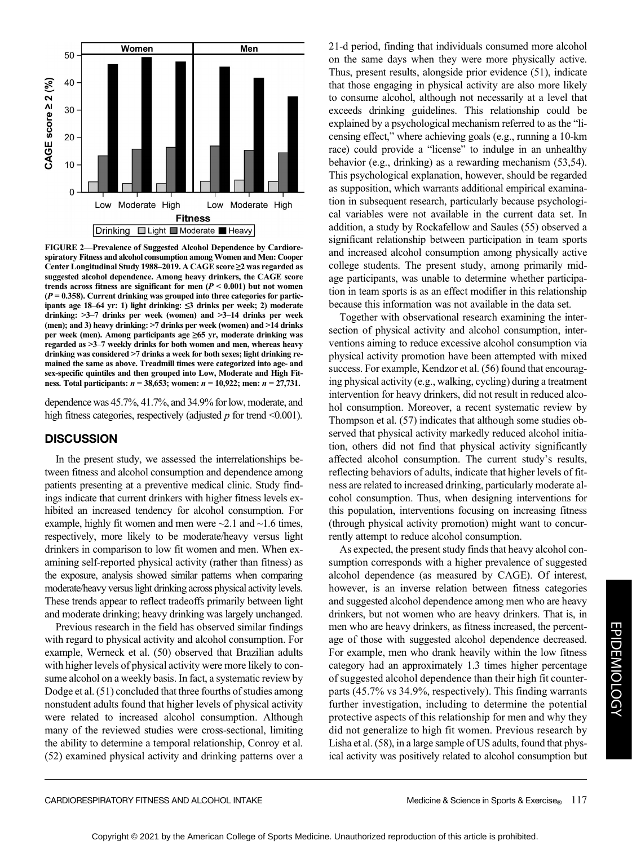

FIGURE 2—Prevalence of Suggested Alcohol Dependence by Cardiorespiratory Fitness and alcohol consumption among Women and Men: Cooper Center Longitudinal Study 1988–2019. A CAGE score ≥2 was regarded as suggested alcohol dependence. Among heavy drinkers, the CAGE score trends across fitness are significant for men  $(P < 0.001)$  but not women  $(P = 0.358)$ . Current drinking was grouped into three categories for participants age 18–64 yr: 1) light drinking: ≤3 drinks per week; 2) moderate drinking: >3–7 drinks per week (women) and >3–14 drinks per week (men); and 3) heavy drinking: >7 drinks per week (women) and >14 drinks per week (men). Among participants age ≥65 yr, moderate drinking was regarded as >3–7 weekly drinks for both women and men, whereas heavy drinking was considered >7 drinks a week for both sexes; light drinking remained the same as above. Treadmill times were categorized into age- and sex-specific quintiles and then grouped into Low, Moderate and High Fitness. Total participants:  $n = 38,653$ ; women:  $n = 10,922$ ; men:  $n = 27,731$ .

dependence was 45.7%, 41.7%, and 34.9% for low, moderate, and high fitness categories, respectively (adjusted  $p$  for trend <0.001).

## **DISCUSSION**

In the present study, we assessed the interrelationships between fitness and alcohol consumption and dependence among patients presenting at a preventive medical clinic. Study findings indicate that current drinkers with higher fitness levels exhibited an increased tendency for alcohol consumption. For example, highly fit women and men were  $\sim$  2.1 and  $\sim$  1.6 times, respectively, more likely to be moderate/heavy versus light drinkers in comparison to low fit women and men. When examining self-reported physical activity (rather than fitness) as the exposure, analysis showed similar patterns when comparing moderate/heavy versus light drinking across physical activity levels. These trends appear to reflect tradeoffs primarily between light and moderate drinking; heavy drinking was largely unchanged.

Previous research in the field has observed similar findings with regard to physical activity and alcohol consumption. For example, Werneck et al. (50) observed that Brazilian adults with higher levels of physical activity were more likely to consume alcohol on a weekly basis. In fact, a systematic review by Dodge et al. (51) concluded that three fourths of studies among nonstudent adults found that higher levels of physical activity were related to increased alcohol consumption. Although many of the reviewed studies were cross-sectional, limiting the ability to determine a temporal relationship, Conroy et al. (52) examined physical activity and drinking patterns over a 21-d period, finding that individuals consumed more alcohol on the same days when they were more physically active. Thus, present results, alongside prior evidence (51), indicate that those engaging in physical activity are also more likely to consume alcohol, although not necessarily at a level that exceeds drinking guidelines. This relationship could be explained by a psychological mechanism referred to as the "licensing effect," where achieving goals (e.g., running a 10-km race) could provide a "license" to indulge in an unhealthy behavior (e.g., drinking) as a rewarding mechanism (53,54). This psychological explanation, however, should be regarded as supposition, which warrants additional empirical examination in subsequent research, particularly because psychological variables were not available in the current data set. In addition, a study by Rockafellow and Saules (55) observed a significant relationship between participation in team sports and increased alcohol consumption among physically active college students. The present study, among primarily midage participants, was unable to determine whether participation in team sports is as an effect modifier in this relationship because this information was not available in the data set.

Together with observational research examining the intersection of physical activity and alcohol consumption, interventions aiming to reduce excessive alcohol consumption via physical activity promotion have been attempted with mixed success. For example, Kendzor et al. (56) found that encouraging physical activity (e.g., walking, cycling) during a treatment intervention for heavy drinkers, did not result in reduced alcohol consumption. Moreover, a recent systematic review by Thompson et al. (57) indicates that although some studies observed that physical activity markedly reduced alcohol initiation, others did not find that physical activity significantly affected alcohol consumption. The current study's results, reflecting behaviors of adults, indicate that higher levels of fitness are related to increased drinking, particularly moderate alcohol consumption. Thus, when designing interventions for this population, interventions focusing on increasing fitness (through physical activity promotion) might want to concurrently attempt to reduce alcohol consumption.

As expected, the present study finds that heavy alcohol consumption corresponds with a higher prevalence of suggested alcohol dependence (as measured by CAGE). Of interest, however, is an inverse relation between fitness categories and suggested alcohol dependence among men who are heavy drinkers, but not women who are heavy drinkers. That is, in men who are heavy drinkers, as fitness increased, the percentage of those with suggested alcohol dependence decreased. For example, men who drank heavily within the low fitness category had an approximately 1.3 times higher percentage of suggested alcohol dependence than their high fit counterparts (45.7% vs 34.9%, respectively). This finding warrants further investigation, including to determine the potential protective aspects of this relationship for men and why they did not generalize to high fit women. Previous research by Lisha et al. (58), in a large sample of US adults, found that physical activity was positively related to alcohol consumption but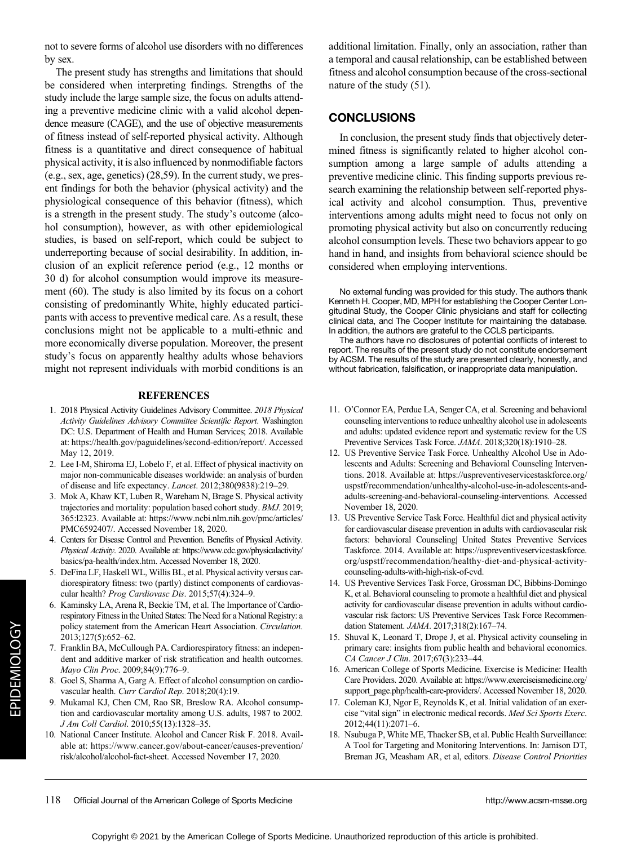not to severe forms of alcohol use disorders with no differences by sex.

The present study has strengths and limitations that should be considered when interpreting findings. Strengths of the study include the large sample size, the focus on adults attending a preventive medicine clinic with a valid alcohol dependence measure (CAGE), and the use of objective measurements of fitness instead of self-reported physical activity. Although fitness is a quantitative and direct consequence of habitual physical activity, it is also influenced by nonmodifiable factors (e.g., sex, age, genetics) (28,59). In the current study, we present findings for both the behavior (physical activity) and the physiological consequence of this behavior (fitness), which is a strength in the present study. The study's outcome (alcohol consumption), however, as with other epidemiological studies, is based on self-report, which could be subject to underreporting because of social desirability. In addition, inclusion of an explicit reference period (e.g., 12 months or 30 d) for alcohol consumption would improve its measurement (60). The study is also limited by its focus on a cohort consisting of predominantly White, highly educated participants with access to preventive medical care. As a result, these conclusions might not be applicable to a multi-ethnic and more economically diverse population. Moreover, the present study's focus on apparently healthy adults whose behaviors might not represent individuals with morbid conditions is an

### **REFERENCES**

- 1. 2018 Physical Activity Guidelines Advisory Committee. 2018 Physical Activity Guidelines Advisory Committee Scientific Report. Washington DC: U.S. Department of Health and Human Services; 2018. Available at:<https://health.gov/paguidelines/second-edition/report/>. Accessed May 12, 2019.
- 2. Lee I-M, Shiroma EJ, Lobelo F, et al. Effect of physical inactivity on major non-communicable diseases worldwide: an analysis of burden of disease and life expectancy. Lancet. 2012;380(9838):219–29.
- 3. Mok A, Khaw KT, Luben R, Wareham N, Brage S. Physical activity trajectories and mortality: population based cohort study. BMJ. 2019; 365:l2323. Available at: [https://www.ncbi.nlm.nih.gov/pmc/articles/](https://www.ncbi.nlm.nih.gov/pmc/articles/PMC6592407/) [PMC6592407/.](https://www.ncbi.nlm.nih.gov/pmc/articles/PMC6592407/) Accessed November 18, 2020.
- 4. Centers for Disease Control and Prevention. Benefits of Physical Activity. Physical Activity. 2020. Available at: [https://www.cdc.gov/physicalactivity/](https://www.cdc.gov/physicalactivity/basics/pa-health/index.htm) [basics/pa-health/index.htm.](https://www.cdc.gov/physicalactivity/basics/pa-health/index.htm) Accessed November 18, 2020.
- 5. DeFina LF, Haskell WL, Willis BL, et al. Physical activity versus cardiorespiratory fitness: two (partly) distinct components of cardiovascular health? Prog Cardiovasc Dis. 2015;57(4):324-9.
- 6. Kaminsky LA, Arena R, Beckie TM, et al. The Importance of Cardiorespiratory Fitness in the United States: The Need for a National Registry: a policy statement from the American Heart Association. Circulation. 2013;127(5):652–62.
- 7. Franklin BA, McCullough PA. Cardiorespiratory fitness: an independent and additive marker of risk stratification and health outcomes. Mayo Clin Proc. 2009;84(9):776–9.
- Goel S, Sharma A, Garg A. Effect of alcohol consumption on cardiovascular health. Curr Cardiol Rep. 2018;20(4):19.
- Mukamal KJ, Chen CM, Rao SR, Breslow RA. Alcohol consumption and cardiovascular mortality among U.S. adults, 1987 to 2002. J Am Coll Cardiol. 2010;55(13):1328–35.
- 10. National Cancer Institute. Alcohol and Cancer Risk F. 2018. Available at: [https://www.cancer.gov/about-cancer/causes-prevention/](https://www.cancer.gov/about-cancer/causes-prevention/risk/alcohol/alcohol-fact-sheet) [risk/alcohol/alcohol-fact-sheet.](https://www.cancer.gov/about-cancer/causes-prevention/risk/alcohol/alcohol-fact-sheet) Accessed November 17, 2020.

additional limitation. Finally, only an association, rather than a temporal and causal relationship, can be established between fitness and alcohol consumption because of the cross-sectional nature of the study (51).

#### **CONCLUSIONS**

In conclusion, the present study finds that objectively determined fitness is significantly related to higher alcohol consumption among a large sample of adults attending a preventive medicine clinic. This finding supports previous research examining the relationship between self-reported physical activity and alcohol consumption. Thus, preventive interventions among adults might need to focus not only on promoting physical activity but also on concurrently reducing alcohol consumption levels. These two behaviors appear to go hand in hand, and insights from behavioral science should be considered when employing interventions.

No external funding was provided for this study. The authors thank Kenneth H. Cooper, MD, MPH for establishing the Cooper Center Longitudinal Study, the Cooper Clinic physicians and staff for collecting clinical data, and The Cooper Institute for maintaining the database. In addition, the authors are grateful to the CCLS participants.

The authors have no disclosures of potential conflicts of interest to report. The results of the present study do not constitute endorsement by ACSM. The results of the study are presented clearly, honestly, and without fabrication, falsification, or inappropriate data manipulation.

- 11. O'Connor EA, Perdue LA, Senger CA, et al. Screening and behavioral counseling interventions to reduce unhealthy alcohol use in adolescents and adults: updated evidence report and systematic review for the US Preventive Services Task Force. JAMA. 2018;320(18):1910–28.
- 12. US Preventive Service Task Force. Unhealthy Alcohol Use in Adolescents and Adults: Screening and Behavioral Counseling Interventions. 2018. Available at: [https://uspreventiveservicestaskforce.org/](https://uspreventiveservicestaskforce.org/uspstf/recommendation/unhealthy-alcohol-use-in-adolescents-and-adults-screening-and-behavioral-counseling-interventions) [uspstf/recommendation/unhealthy-alcohol-use-in-adolescents-and](https://uspreventiveservicestaskforce.org/uspstf/recommendation/unhealthy-alcohol-use-in-adolescents-and-adults-screening-and-behavioral-counseling-interventions)[adults-screening-and-behavioral-counseling-interventions.](https://uspreventiveservicestaskforce.org/uspstf/recommendation/unhealthy-alcohol-use-in-adolescents-and-adults-screening-and-behavioral-counseling-interventions) Accessed November 18, 2020.
- 13. US Preventive Service Task Force. Healthful diet and physical activity for cardiovascular disease prevention in adults with cardiovascular risk factors: behavioral Counseling| United States Preventive Services Taskforce. 2014. Available at: [https://uspreventiveservicestaskforce.](https://uspreventiveservicestaskforce.org/uspstf/recommendation/healthy-diet-and-physical-activity-counseling-adults-with-high-risk-of-cvd) [org/uspstf/recommendation/healthy-diet-and-physical-activity](https://uspreventiveservicestaskforce.org/uspstf/recommendation/healthy-diet-and-physical-activity-counseling-adults-with-high-risk-of-cvd)[counseling-adults-with-high-risk-of-cvd](https://uspreventiveservicestaskforce.org/uspstf/recommendation/healthy-diet-and-physical-activity-counseling-adults-with-high-risk-of-cvd).
- 14. US Preventive Services Task Force, Grossman DC, Bibbins-Domingo K, et al. Behavioral counseling to promote a healthful diet and physical activity for cardiovascular disease prevention in adults without cardiovascular risk factors: US Preventive Services Task Force Recommendation Statement. JAMA. 2017;318(2):167–74.
- 15. Shuval K, Leonard T, Drope J, et al. Physical activity counseling in primary care: insights from public health and behavioral economics. CA Cancer J Clin. 2017;67(3):233–44.
- 16. American College of Sports Medicine. Exercise is Medicine: Health Care Providers. 2020. Available at: [https://www.exerciseismedicine.org/](https://www.exerciseismedicine.org/support_page.php/health-care-providers/) [support\\_page.php/health-care-providers/.](https://www.exerciseismedicine.org/support_page.php/health-care-providers/) Accessed November 18, 2020.
- 17. Coleman KJ, Ngor E, Reynolds K, et al. Initial validation of an exercise "vital sign" in electronic medical records. Med Sci Sports Exerc. 2012;44(11):2071–6.
- 18. Nsubuga P, White ME, Thacker SB, et al. Public Health Surveillance: A Tool for Targeting and Monitoring Interventions. In: Jamison DT, Breman JG, Measham AR, et al, editors. Disease Control Priorities